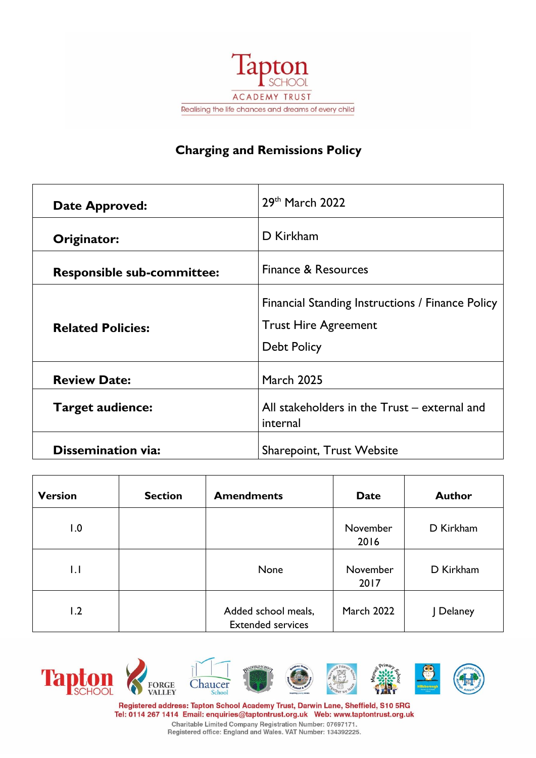

# **Charging and Remissions Policy**

| <b>Date Approved:</b>             | 29th March 2022                                                                                       |
|-----------------------------------|-------------------------------------------------------------------------------------------------------|
| Originator:                       | D Kirkham                                                                                             |
| <b>Responsible sub-committee:</b> | Finance & Resources                                                                                   |
| <b>Related Policies:</b>          | Financial Standing Instructions / Finance Policy<br><b>Trust Hire Agreement</b><br><b>Debt Policy</b> |
| <b>Review Date:</b>               | <b>March 2025</b>                                                                                     |
| <b>Target audience:</b>           | All stakeholders in the Trust - external and<br>internal                                              |
| <b>Dissemination via:</b>         | <b>Sharepoint, Trust Website</b>                                                                      |

| <b>Version</b> | <b>Section</b> | <b>Amendments</b>                               | <b>Date</b>       | <b>Author</b> |
|----------------|----------------|-------------------------------------------------|-------------------|---------------|
| 1.0            |                |                                                 | November<br>2016  | D Kirkham     |
| $\mathsf{L}$   |                | None                                            | November<br>2017  | D Kirkham     |
| 1.2            |                | Added school meals,<br><b>Extended services</b> | <b>March 2022</b> | Delaney       |



Registered address: Tapton School Academy Trust, Darwin Lane, Sheffield, S10 5RG Tel: 0114 267 1414 Email: enquiries@taptontrust.org.uk Web: www.taptontrust.org.uk

Charitable Limited Company Registration Number: 07697171.<br>Registered office: England and Wales. VAT Number: 134392225.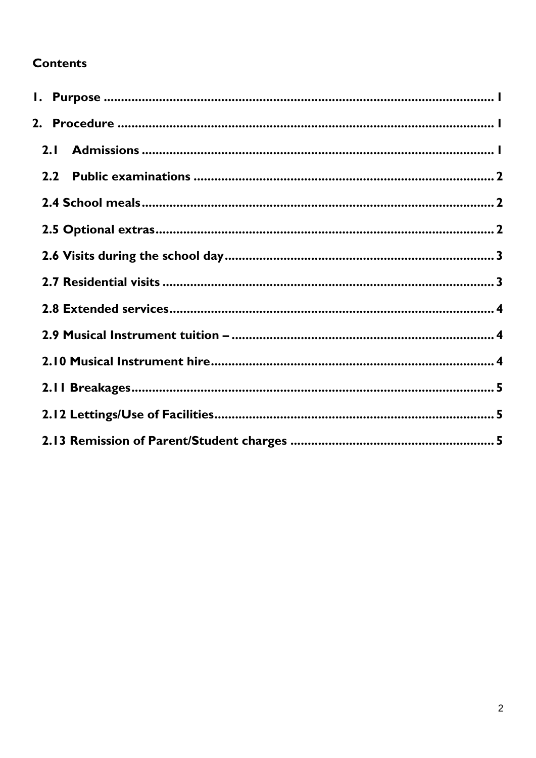# **Contents**

| 2.1              |  |
|------------------|--|
| 2.2 <sub>2</sub> |  |
|                  |  |
|                  |  |
|                  |  |
|                  |  |
|                  |  |
|                  |  |
|                  |  |
|                  |  |
|                  |  |
|                  |  |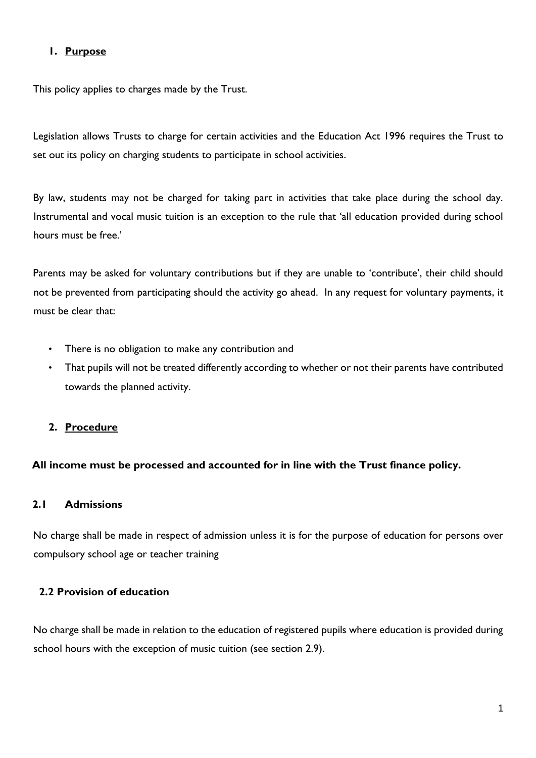## <span id="page-2-0"></span>**1. Purpose**

This policy applies to charges made by the Trust.

Legislation allows Trusts to charge for certain activities and the Education Act 1996 requires the Trust to set out its policy on charging students to participate in school activities.

By law, students may not be charged for taking part in activities that take place during the school day. Instrumental and vocal music tuition is an exception to the rule that 'all education provided during school hours must be free.'

Parents may be asked for voluntary contributions but if they are unable to 'contribute', their child should not be prevented from participating should the activity go ahead. In any request for voluntary payments, it must be clear that:

- There is no obligation to make any contribution and
- That pupils will not be treated differently according to whether or not their parents have contributed towards the planned activity.

## <span id="page-2-1"></span>**2. Procedure**

## **All income must be processed and accounted for in line with the Trust finance policy.**

## <span id="page-2-2"></span>**2.1 Admissions**

No charge shall be made in respect of admission unless it is for the purpose of education for persons over compulsory school age or teacher training

## **2.2 Provision of education**

No charge shall be made in relation to the education of registered pupils where education is provided during school hours with the exception of music tuition (see section 2.9).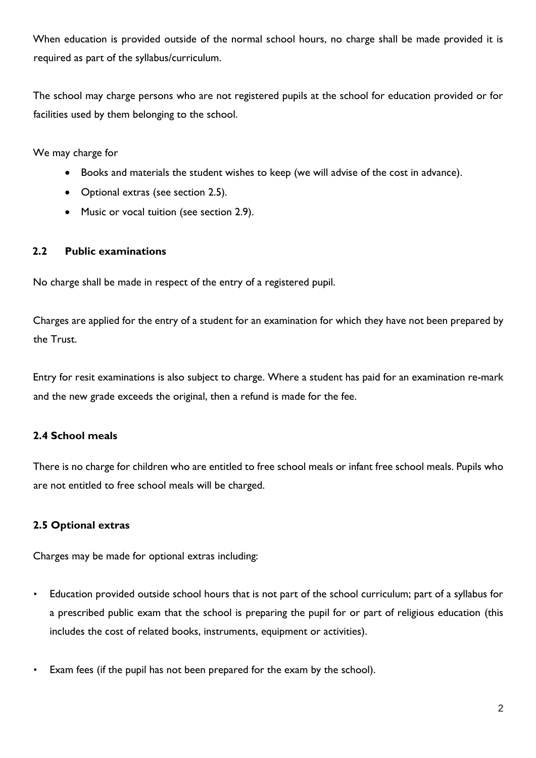When education is provided outside of the normal school hours, no charge shall be made provided it is required as part of the syllabus/curriculum.

The school may charge persons who are not registered pupils at the school for education provided or for facilities used by them belonging to the school.

We may charge for

- Books and materials the student wishes to keep (we will advise of the cost in advance).
- Optional extras (see section 2.5).
- Music or vocal tuition (see section 2.9).

## <span id="page-3-0"></span>**2.2 Public examinations**

No charge shall be made in respect of the entry of a registered pupil.

Charges are applied for the entry of a student for an examination for which they have not been prepared by the Trust.

Entry for resit examinations is also subject to charge. Where a student has paid for an examination re-mark and the new grade exceeds the original, then a refund is made for the fee.

## <span id="page-3-1"></span>**2.4 School meals**

There is no charge for children who are entitled to free school meals or infant free school meals. Pupils who are not entitled to free school meals will be charged.

## <span id="page-3-2"></span>**2.5 Optional extras**

Charges may be made for optional extras including:

- Education provided outside school hours that is not part of the school curriculum; part of a syllabus for a prescribed public exam that the school is preparing the pupil for or part of religious education (this includes the cost of related books, instruments, equipment or activities).
- Exam fees (if the pupil has not been prepared for the exam by the school).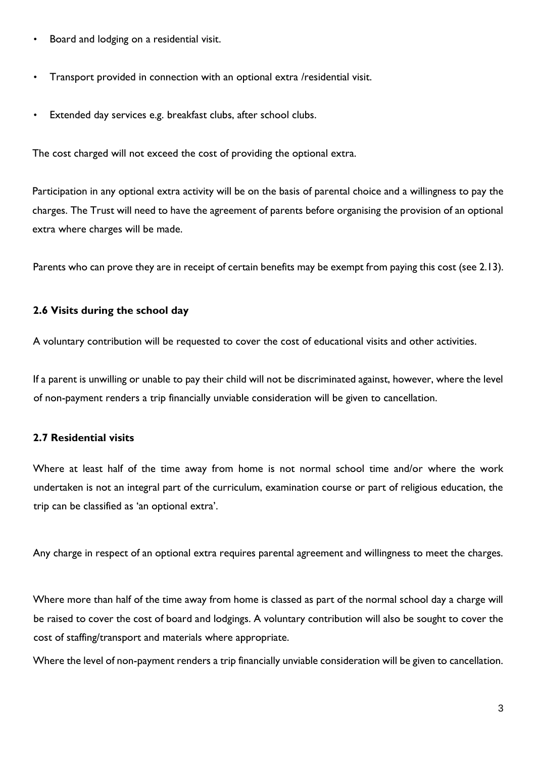- Board and lodging on a residential visit.
- Transport provided in connection with an optional extra /residential visit.
- Extended day services e.g. breakfast clubs, after school clubs.

The cost charged will not exceed the cost of providing the optional extra.

Participation in any optional extra activity will be on the basis of parental choice and a willingness to pay the charges. The Trust will need to have the agreement of parents before organising the provision of an optional extra where charges will be made.

Parents who can prove they are in receipt of certain benefits may be exempt from paying this cost (see 2.13).

## <span id="page-4-0"></span>**2.6 Visits during the school day**

A voluntary contribution will be requested to cover the cost of educational visits and other activities.

If a parent is unwilling or unable to pay their child will not be discriminated against, however, where the level of non-payment renders a trip financially unviable consideration will be given to cancellation.

## <span id="page-4-1"></span>**2.7 Residential visits**

Where at least half of the time away from home is not normal school time and/or where the work undertaken is not an integral part of the curriculum, examination course or part of religious education, the trip can be classified as 'an optional extra'.

Any charge in respect of an optional extra requires parental agreement and willingness to meet the charges.

Where more than half of the time away from home is classed as part of the normal school day a charge will be raised to cover the cost of board and lodgings. A voluntary contribution will also be sought to cover the cost of staffing/transport and materials where appropriate.

Where the level of non-payment renders a trip financially unviable consideration will be given to cancellation.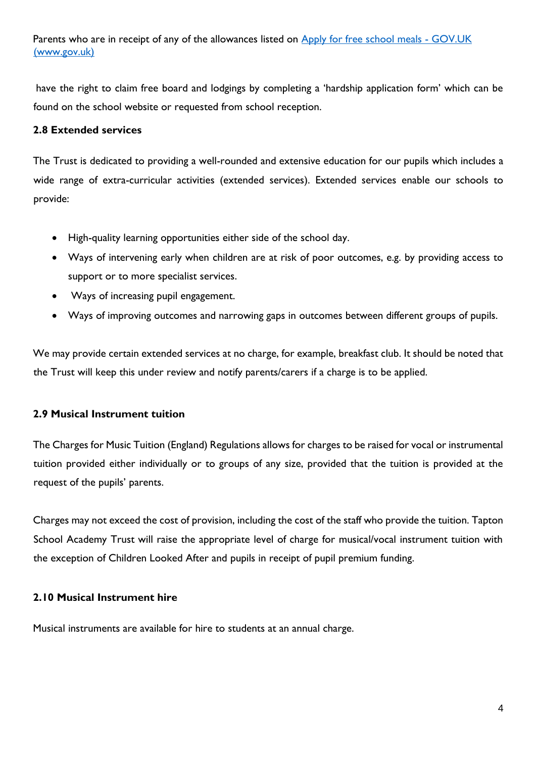Parents who are in receipt of any of the allowances listed on [Apply for free school meals -](https://www.gov.uk/apply-free-school-meals) GOV.UK [\(www.gov.uk\)](https://www.gov.uk/apply-free-school-meals)

have the right to claim free board and lodgings by completing a 'hardship application form' which can be found on the school website or requested from school reception.

## <span id="page-5-0"></span>**2.8 Extended services**

The Trust is dedicated to providing a well-rounded and extensive education for our pupils which includes a wide range of extra-curricular activities (extended services). Extended services enable our schools to provide:

- High-quality learning opportunities either side of the school day.
- Ways of intervening early when children are at risk of poor outcomes, e.g. by providing access to support or to more specialist services.
- Ways of increasing pupil engagement.
- Ways of improving outcomes and narrowing gaps in outcomes between different groups of pupils.

We may provide certain extended services at no charge, for example, breakfast club. It should be noted that the Trust will keep this under review and notify parents/carers if a charge is to be applied.

## <span id="page-5-1"></span>**2.9 Musical Instrument tuition**

The Charges for Music Tuition (England) Regulations allows for charges to be raised for vocal or instrumental tuition provided either individually or to groups of any size, provided that the tuition is provided at the request of the pupils' parents.

Charges may not exceed the cost of provision, including the cost of the staff who provide the tuition. Tapton School Academy Trust will raise the appropriate level of charge for musical/vocal instrument tuition with the exception of Children Looked After and pupils in receipt of pupil premium funding.

## <span id="page-5-2"></span>**2.10 Musical Instrument hire**

Musical instruments are available for hire to students at an annual charge.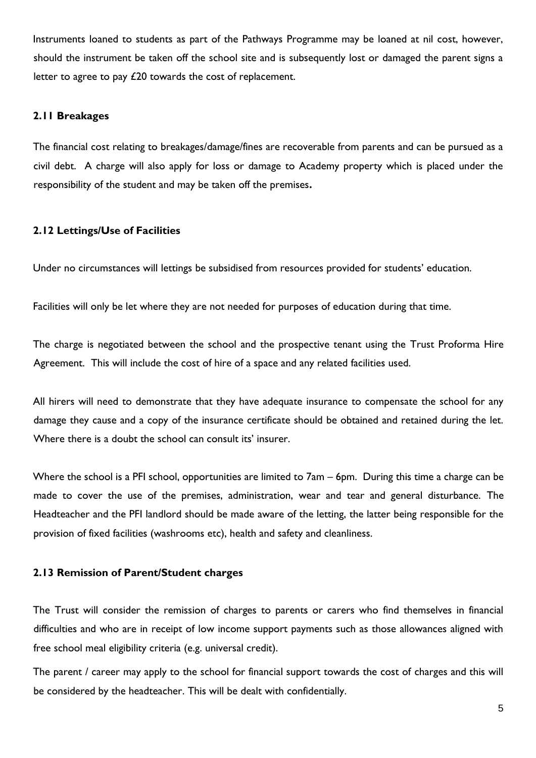Instruments loaned to students as part of the Pathways Programme may be loaned at nil cost, however, should the instrument be taken off the school site and is subsequently lost or damaged the parent signs a letter to agree to pay £20 towards the cost of replacement.

#### <span id="page-6-0"></span>**2.11 Breakages**

The financial cost relating to breakages/damage/fines are recoverable from parents and can be pursued as a civil debt. A charge will also apply for loss or damage to Academy property which is placed under the responsibility of the student and may be taken off the premises**.**

## <span id="page-6-1"></span>**2.12 Lettings/Use of Facilities**

Under no circumstances will lettings be subsidised from resources provided for students' education.

Facilities will only be let where they are not needed for purposes of education during that time.

The charge is negotiated between the school and the prospective tenant using the Trust Proforma Hire Agreement. This will include the cost of hire of a space and any related facilities used.

All hirers will need to demonstrate that they have adequate insurance to compensate the school for any damage they cause and a copy of the insurance certificate should be obtained and retained during the let. Where there is a doubt the school can consult its' insurer.

Where the school is a PFI school, opportunities are limited to 7am – 6pm. During this time a charge can be made to cover the use of the premises, administration, wear and tear and general disturbance. The Headteacher and the PFI landlord should be made aware of the letting, the latter being responsible for the provision of fixed facilities (washrooms etc), health and safety and cleanliness.

#### <span id="page-6-2"></span>**2.13 Remission of Parent/Student charges**

The Trust will consider the remission of charges to parents or carers who find themselves in financial difficulties and who are in receipt of low income support payments such as those allowances aligned with free school meal eligibility criteria (e.g. universal credit).

The parent / career may apply to the school for financial support towards the cost of charges and this will be considered by the headteacher. This will be dealt with confidentially.